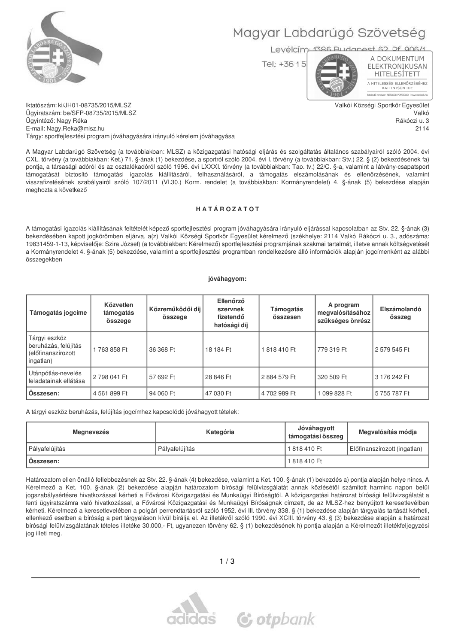

# Magyar Labdarúgó Szövetség

Levélcím: 1386 Budanest 62 Df 906/1

Tel: +36 15

A DOKUMENTUM ELEKTRONIKUSAN HITELESÍTETT A HITELESSÉG ELLENŐRZÉSÉHEZ<br>KATTINTSON IDE NETLOCK PDPSIGNO | W

Valkói Községi Sportkör Egyesület

Valkó

2114

Rákóczi u. 3

Iktatószám: ki/JH01-08735/2015/MLSZ Ügyiratszám: be/SFP-08735/2015/MLSZ Ügyintéző: Nagy Réka E-mail: Nagy.Reka@mlsz.hu Tárgy: sportfejlesztési program jóváhagyására irányuló kérelem jóváhagyása

A Magyar Labdarúgó Szövetség (a továbbiakban: MLSZ) a közigazgatási hatósági eljárás és szolgáltatás általános szabályairól szóló 2004. évi CXL. törvény (a továbbiakban: Ket.) 71. §-ának (1) bekezdése, a sportról szóló 2004. évi I. törvény (a továbbiakban: Stv.) 22. § (2) bekezdésének fa) pontja, a társasági adóról és az osztalékadóról szóló 1996. évi LXXXI. törvény (a továbbiakban: Tao. tv.) 22/C. §-a, valamint a látvány-csapatsport támogatását biztosító támogatási igazolás kiállításáról, felhasználásáról, a támogatás elszámolásának és ellenőrzésének, valamint visszafizetésének szabályairól szóló 107/2011 (VI.30.) Korm. rendelet (a továbbiakban: Kormányrendelet) 4. §-ának (5) bekezdése alapján meghozta a következő

#### HATÁROZATOT

A támogatási igazolás kiállításának feltételét képező sportfejlesztési program jóváhagyására irányuló eljárással kapcsolatban az Stv. 22. §-ának (3) bekezdésében kapott jogkörömben eljárva, a(z) Valkói Községi Sportkör Egyesület kérelmező (székhelye: 2114 Valkó Rákóczi u. 3., adószáma: 19831459-1-13, képviselője: Szira József) (a továbbiakban: Kérelmező) sportfejlesztési programjának szakmai tartalmát, illetve annak költségvetését a Kormányrendelet 4. §-ának (5) bekezdése, valamint a sportfejlesztési programban rendelkezésre álló információk alapján jogcímenként az alábbi összegekben

#### jóváhagyom:

| Támogatás jogcíme                                                        | Közvetlen<br>támogatás<br>összege | Közreműködői díj<br>összege | Ellenőrző<br>szervnek<br>fizetendő<br>hatósági díj | Támogatás<br>összesen | A program<br>megvalósításához<br>szükséges önrész | Elszámolandó<br>összeg |
|--------------------------------------------------------------------------|-----------------------------------|-----------------------------|----------------------------------------------------|-----------------------|---------------------------------------------------|------------------------|
| Tárgyi eszköz<br>beruházás, felújítás<br>(előfinanszírozott<br>ingatlan) | 1763858 Ft                        | 36 368 Ft                   | 18 184 Ft                                          | 1818410 Ft            | 779 319 Ft                                        | 2 579 545 Ft           |
| Utánpótlás-nevelés<br>feladatainak ellátása                              | 2798 041 Ft                       | 57 692 Ft                   | 28 846 Ft                                          | 2884 579 Ft           | 320 509 Ft                                        | 3 176 242 Ft           |
| Osszesen:                                                                | 4 561 899 Ft                      | 94 060 Ft                   | 47 030 Ft                                          | 4702989 Ft            | 099 828 Ft                                        | 5755787 Ft             |

A tárgyi eszköz beruházás, felújítás jogcímhez kapcsolódó jóváhagyott tételek:

| Megnevezés     | Kategória      | Jóváhagyott<br>támogatási összeg | Megvalósítás módia           |
|----------------|----------------|----------------------------------|------------------------------|
| Pályafelújítás | Pályafelújítás | 1818410 Ft                       | Előfinanszírozott (ingatlan) |
| Osszesen:      |                | 1818410 Ft                       |                              |

Határozatom ellen önálló fellebbezésnek az Stv. 22. §-ának (4) bekezdése, valamint a Ket. 100. §-ának (1) bekezdés a) pontja alapján helye nincs. A Kérelmező a Ket. 100. §-ának (2) bekezdése alapján határozatom bírósági felülvizsgálatát annak közlésétől számított harminc napon belül jogszabálysértésre hivatkozással kérheti a Fővárosi Közigazgatási és Munkaügyi Bíróságtól. A közigazgatási határozat bírósági felülvizsgálatát a fenti ügyiratszámra való hivatkozással, a Fővárosi Közigazgatási és Munkaügyi Bíróságnak címzett, de az MLSZ-hez benyújtott keresetlevélben kérheti. Kérelmező a keresetlevelében a polgári perrendtartásról szóló 1952. évi III. törvény 338. § (1) bekezdése alapján tárgyalás tartását kérheti, ellenkező esetben a bíróság a pert tárgyaláson kívül bírálja el. Az illetékről szóló 1990. évi XCIII. törvény 43. § (3) bekezdése alapján a határozat bírósági felülvizsgálatának tételes illetéke 30.000,- Ft, ugyanezen törvény 62. § (1) bekezdésének h) pontja alapján a Kérelmezőt illetékfeljegyzési jog illeti meg.

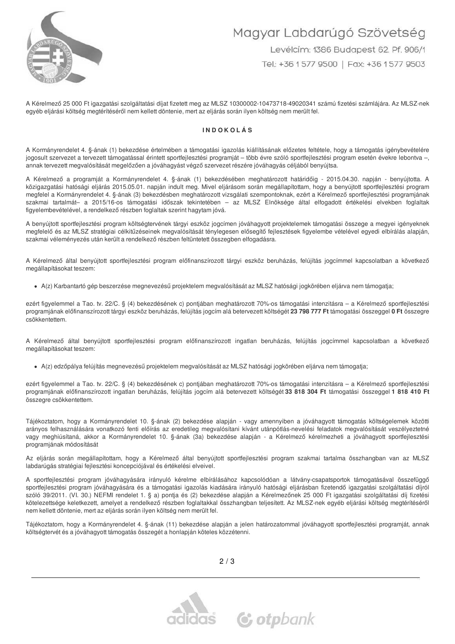

# Magyar Labdarúgó Szövetség Levélcím: 1386 Budapest 62. Pf. 906/1 Tel: +36 1 577 9500 | Fax: +36 1 577 9503

A Kérelmező 25 000 Ft jgazgatási szolgáltatási díjat fizetett meg az MLSZ 10300002-10473718-49020341 számú fizetési számlájára. Az MLSZ-nek egyéb eljárási költség megtérítéséről nem kellett döntenie, mert az eljárás során ilyen költség nem merült fel.

#### **INDOKOLÁS**

A Kormányrendelet 4. §-ának (1) bekezdése értelmében a támogatási igazolás kiállításának előzetes feltétele, hogy a támogatás igénybevételére jogosult szervezet a tervezett támogatással érintett sportfejlesztési programját – több évre szóló sportfejlesztési program esetén évekre lebontva –, annak tervezett megyalósítását megelőzően a jóváhagyást végző szervezet részére jóváhagyás céljából benyújtsa.

A Kérelmező a programját a Kormányrendelet 4. §-ának (1) bekezdésében meghatározott határidőig - 2015.04.30. napján - benyújtotta. A közigazgatási hatósági eljárás 2015.05.01. napján indult meg. Mivel eljárásom során megállapítottam, hogy a benyújtott sportfejlesztési program megfelel a Kormányrendelet 4. §-ának (3) bekezdésben meghatározott vizsgálati szempontoknak, ezért a Kérelmező sportfejlesztési programjának szakmai tartalmát- a 2015/16-os támogatási időszak tekintetében - az MLSZ Elnöksége által elfogadott értékelési elvekben foglaltak figyelembevételével, a rendelkező részben foglaltak szerint hagytam jóvá.

A benyújtott sportfejlesztési program költségtervének tárgyi eszköz jogcímen jóváhagyott projektelemek támogatási összege a megyei igényeknek megfelelő és az MLSZ stratégiai célkitűzéseinek megvalósítását ténylegesen elősegítő fejlesztések figyelembe vételével egyedi elbírálás alapján, szakmai véleményezés után került a rendelkező részben feltüntetett összegben elfogadásra.

A Kérelmező által benyújtott sportfejlesztési program előfinanszírozott tárgyi eszköz beruházás, felújítás jogcímmel kapcsolatban a következő megállapításokat teszem:

· A(z) Karbantartó gép beszerzése megnevezésű projektelem megvalósítását az MLSZ hatósági jogkörében eljárva nem támogatja;

ezért figyelemmel a Tao. tv. 22/C. § (4) bekezdésének c) pontjában meghatározott 70%-os támogatási intenzitásra - a Kérelmező sportfejlesztési programjának előfinanszírozott tárgyi eszköz beruházás, felújítás jogcím alá betervezett költségét 23 798 777 Ft támogatási összeggel 0 Ft összegre csökkentettem.

A Kérelmező által benyújtott sportfejlesztési program előfinanszírozott ingatlan beruházás, felújítás jogcímmel kapcsolatban a következő megállapításokat teszem:

· A(z) edzőpálya felújítás megnevezésű projektelem megvalósítását az MLSZ hatósági jogkörében eljárva nem támogatja;

ezért figyelemmel a Tao. tv. 22/C. § (4) bekezdésének c) pontjában meghatározott 70%-os támogatási intenzitásra – a Kérelmező sportfejlesztési programjának előfinanszírozott ingatlan beruházás, felújítás jogcím alá betervezett költségét 33 818 304 Ft támogatási összeggel 1 818 410 Ft összegre csökkentettem.

Tájékoztatom, hogy a Kormányrendelet 10. §-ának (2) bekezdése alapján - vagy amennyiben a jóváhagyott támogatás költségelemek közötti arányos felhasználására vonatkozó fenti előírás az eredetileg megvalósítani kívánt utánpótlás-nevelési feladatok megvalósítását veszélyeztetné vagy meghiúsítaná, akkor a Kormányrendelet 10. §-ának (3a) bekezdése alapján - a Kérelmező kérelmezheti a jóváhagyott sportfejlesztési programjának módosítását

Az eljárás során megállapítottam, hogy a Kérelmező által benyújtott sportfejlesztési program szakmai tartalma összhangban van az MLSZ labdarúgás stratégiai fejlesztési koncepciójával és értékelési elveivel.

A sportfejlesztési program jóváhagyására irányuló kérelme elbírálásához kapcsolódóan a látvány-csapatsportok támogatásával összefüggő sportfejlesztési program jóváhagyására és a támogatási igazolás kiadására irányuló hatósági eljárásban fizetendő igazgatási szolgáltatási díjról szóló 39/2011. (VI. 30.) NEFMI rendelet 1. § a) pontja és (2) bekezdése alapján a Kérelmezőnek 25 000 Ft igazgatási szolgáltatási díj fizetési kötelezettsége keletkezett, amelyet a rendelkező részben foglaltakkal összhangban teljesített. Az MLSZ-nek egyéb eljárási költség megtérítéséről nem kellett döntenie, mert az eljárás során ilyen költség nem merült fel.

Tájékoztatom, hogy a Kormányrendelet 4. §-ának (11) bekezdése alapján a jelen határozatommal jóváhagyott sportfejlesztési programját, annak költségtervét és a jóváhagyott támogatás összegét a honlapján köteles közzétenni.



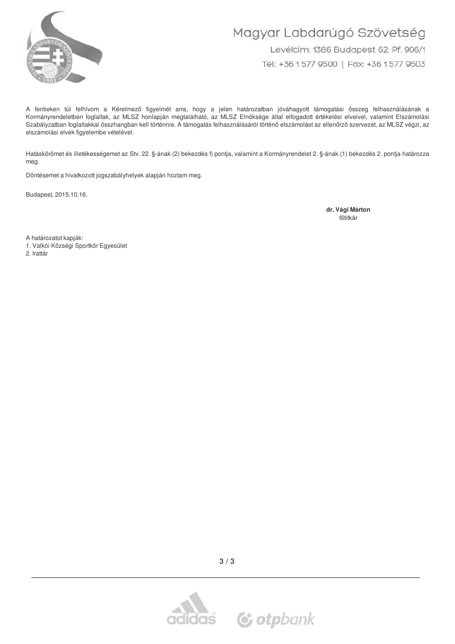

# Magyar Labdarúgó Szövetség Levélcím: 1386 Budapest 62. Pf. 906/1

Tel: +36 1 577 9500 | Fax: +36 1 577 9503

A fentieken túl felhívom a Kérelmező figyelmét arra, hogy a jelen határozatban jóváhagyott támogatási összeg felhasználásának a Kormányrendeletben foglaltak, az MLSZ honlapján megtalálható, az MLSZ Elnöksége által elfogadott értékelési elveivel, valamint Elszámolási Szabályzatban foglaltakkal összhangban kell történnie. A támogatás felhasználásáról történő elszámolást az ellenőrző szervezet, az MLSZ végzi, az elszámolási elvek figyelembe vételével.

Hatáskörömet és illetékességemet az Stv. 22. §-ának (2) bekezdés f) pontja, valamint a Kormányrendelet 2. §-ának (1) bekezdés 2. pontja határozza meg.

Döntésemet a hivatkozott jogszabályhelyek alapján hoztam meg.

Budapest, 2015.10.16.

dr. Vági Márton főtitkár

A határozatot kapják:

1. Valkói Községi Sportkör Egyesület

2. Irattár



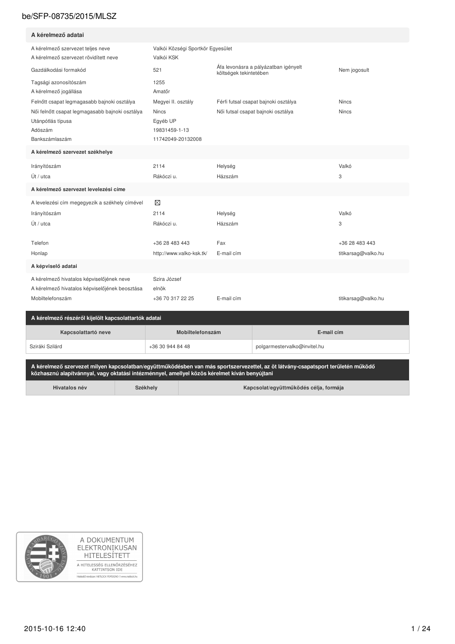| A kérelmező adatai                                                                                              |                                                                |                                                                |                     |
|-----------------------------------------------------------------------------------------------------------------|----------------------------------------------------------------|----------------------------------------------------------------|---------------------|
| A kérelmező szervezet teljes neve<br>A kérelmező szervezet rövidített neve                                      | Valkói Községi Sportkör Egyesület<br>Valkói KSK                |                                                                |                     |
| Gazdálkodási formakód                                                                                           | 521                                                            | Áfa levonásra a pályázatban igényelt<br>költségek tekintetében | Nem jogosult        |
| Tagsági azonosítószám<br>A kérelmező jogállása                                                                  | 1255<br>Amatőr                                                 |                                                                |                     |
| Felnőtt csapat legmagasabb bajnoki osztálya                                                                     | Megyei II. osztály                                             | Férfi futsal csapat bajnoki osztálya                           | <b>Nincs</b>        |
| Női felnőtt csapat legmagasabb bajnoki osztálya<br>Utánpótlás típusa<br>Adószám<br>Bankszámlaszám               | <b>Nincs</b><br>Egyéb UP<br>19831459-1-13<br>11742049-20132008 | Női futsal csapat bajnoki osztálya                             | <b>Nincs</b>        |
| A kérelmező szervezet székhelye                                                                                 |                                                                |                                                                |                     |
| Irányítószám                                                                                                    | 2114                                                           | Helység                                                        | Valkó               |
| Út / utca                                                                                                       | Rákóczi u.                                                     | Házszám                                                        | 3                   |
| A kérelmező szervezet levelezési címe                                                                           |                                                                |                                                                |                     |
| A levelezési cím megegyezik a székhely címével                                                                  | ⊠                                                              |                                                                |                     |
| Irányítószám                                                                                                    | 2114                                                           | Helység                                                        | Valkó               |
| Út / utca                                                                                                       | Rákóczi u.                                                     | Házszám                                                        | 3                   |
| Telefon                                                                                                         | +36 28 483 443                                                 | Fax                                                            | +36 28 483 443      |
| Honlap                                                                                                          | http://www.valko-ksk.tk/                                       | E-mail cím                                                     | titikarsag@valko.hu |
| A képviselő adatai                                                                                              |                                                                |                                                                |                     |
| A kérelmező hivatalos képviselőjének neve<br>A kérelmező hivatalos képviselőjének beosztása<br>Mobiltelefonszám | Szira József<br>elnök<br>+36 70 317 22 25                      | E-mail cím                                                     | titikarsag@valko.hu |

| $\,$ - A Kerelmezo reszeről kilelőlt kapcsolattartok adatai $\,$ |                  |                              |  |  |  |  |
|------------------------------------------------------------------|------------------|------------------------------|--|--|--|--|
| Kapcsolattartó neve<br>Mobiltelefonszám                          |                  | E-mail cim                   |  |  |  |  |
| Sziráki Szilárd                                                  | +36 30 944 84 48 | polgarmestervalko@invitel.hu |  |  |  |  |

A kérelmező szervezet milyen kapcsolatban/együttműködésben van más sportszervezettel, az öt látvány-csapatsport területén működő<br>közhasznú alapítvánnyal, vagy oktatási intézménnyel, amellyel közös kérelmet kíván benyújtani

Hivatalos név

Székhely

Kapcsolat/együttműködés célja, formája

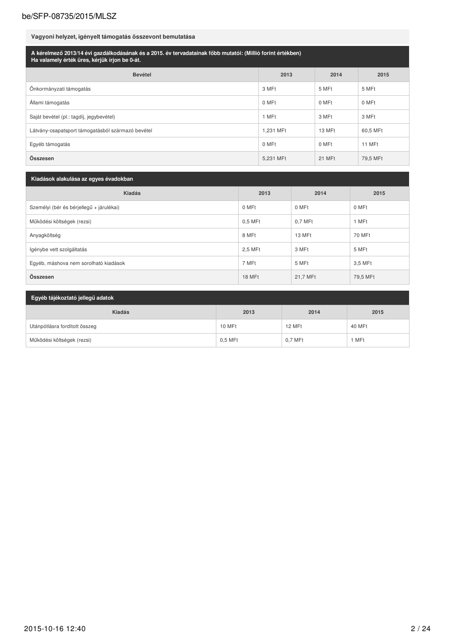## Vagyoni helyzet, igényelt támogatás összevont bemutatása

| A kérelmező 2013/14 évi gazdálkodásának és a 2015. év tervadatainak főbb mutatói: (Millió forint értékben)<br>Ha valamely érték üres, kérjük írjon be 0-át. |           |        |          |  |  |  |
|-------------------------------------------------------------------------------------------------------------------------------------------------------------|-----------|--------|----------|--|--|--|
| <b>Bevétel</b>                                                                                                                                              | 2013      | 2014   | 2015     |  |  |  |
| Önkormányzati támogatás                                                                                                                                     | 3 MFt     | 5 MFt  | 5 MFt    |  |  |  |
| Allami támogatás                                                                                                                                            | 0 MFt     | 0 MFt  | 0 MFt    |  |  |  |
| Saját bevétel (pl.: tagdíj, jegybevétel)                                                                                                                    | 1 MFt     | 3 MFt  | 3 MFt    |  |  |  |
| Látvány-csapatsport támogatásból származó bevétel                                                                                                           | 1.231 MFt | 13 MFt | 60,5 MFt |  |  |  |
| Egyéb támogatás                                                                                                                                             | 0 MFt     | 0 MFt  | 11 MFt   |  |  |  |
| Összesen                                                                                                                                                    | 5.231 MFt | 21 MFt | 79,5 MFt |  |  |  |

| Kiadások alakulása az egyes évadokban    |           |          |          |  |  |  |
|------------------------------------------|-----------|----------|----------|--|--|--|
| Kiadás                                   | 2013      | 2014     | 2015     |  |  |  |
| Személyi (bér és bérjellegű + járulékai) | 0 MFt     | 0 MFt    | 0 MFt    |  |  |  |
| Működési költségek (rezsi)               | $0.5$ MFt | 0.7 MFt  | 1 MFt    |  |  |  |
| Anyagköltség                             | 8 MFt     | 13 MFt   | 70 MFt   |  |  |  |
| Igénybe vett szolgáltatás                | 2,5 MFt   | 3 MFt    | 5 MFt    |  |  |  |
| Egyéb, máshova nem sorolható kiadások    | 7 MFt     | 5 MFt    | 3,5 MFt  |  |  |  |
| Összesen                                 | 18 MFt    | 21,7 MFt | 79,5 MFt |  |  |  |

| Egyéb tájékoztató jellegű adatok |           |           |        |  |  |  |
|----------------------------------|-----------|-----------|--------|--|--|--|
| <b>Kiadás</b>                    | 2013      | 2014      | 2015   |  |  |  |
| Utánpótlásra fordított összeg    | 10 MFt    | 12 MFt    | 40 MFt |  |  |  |
| Működési költségek (rezsi)       | $0.5$ MFt | $0.7$ MFt | 1 MFt  |  |  |  |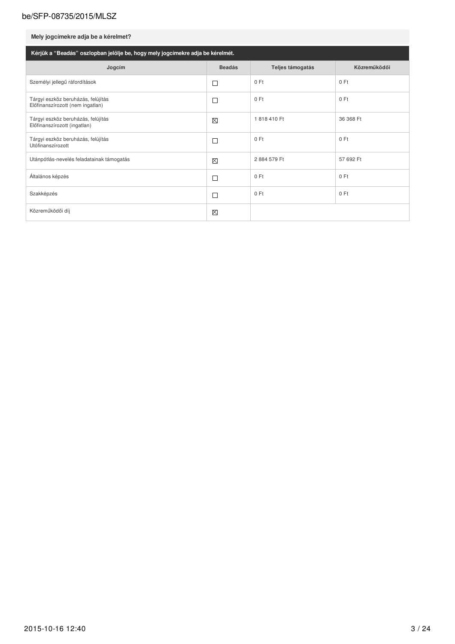## Mely jogcímekre adja be a kérelmet?

| Kérjük a "Beadás" oszlopban jelölje be, hogy mely jogcímekre adja be kérelmét. |               |                  |              |  |  |  |  |
|--------------------------------------------------------------------------------|---------------|------------------|--------------|--|--|--|--|
| Jogcím                                                                         | <b>Beadás</b> | Teljes támogatás | Közreműködői |  |  |  |  |
| Személyi jellegű ráfordítások                                                  | L             | 0 Ft             | 0 Ft         |  |  |  |  |
| Tárgyi eszköz beruházás, felújítás<br>Előfinanszírozott (nem ingatlan)         | Г             | 0 Ft             | 0 Ft         |  |  |  |  |
| Tárgyi eszköz beruházás, felújítás<br>Előfinanszírozott (ingatlan)             | ⊠             | 1818410 Ft       | 36 368 Ft    |  |  |  |  |
| Tárgyi eszköz beruházás, felújítás<br>Utófinanszírozott                        | Г             | 0 Ft             | 0 Ft         |  |  |  |  |
| Utánpótlás-nevelés feladatainak támogatás                                      | $\boxtimes$   | 2884 579 Ft      | 57 692 Ft    |  |  |  |  |
| Általános képzés                                                               | L             | 0 Ft             | 0 Ft         |  |  |  |  |
| Szakképzés                                                                     | Г             | 0 Ft             | 0 Ft         |  |  |  |  |
| Közreműködői díj                                                               | ⊠             |                  |              |  |  |  |  |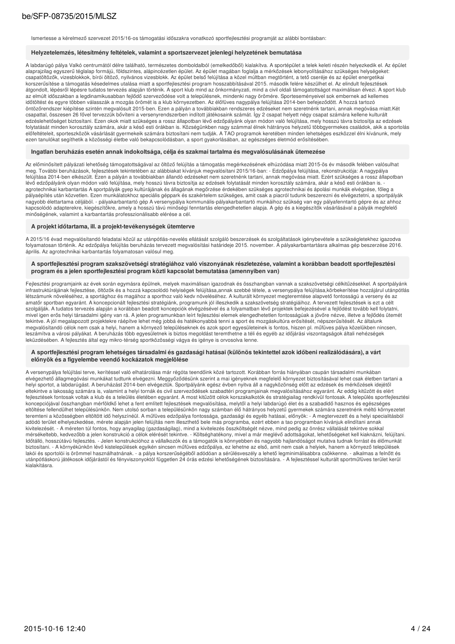Ismertesse a kérelmező szervezet 2015/16-os támogatási időszakra vonatkozó sportfejlesztési programját az alábbi bontásban:

#### Helyzetelemzés, létesítmény feltételek, valamint a sportszervezet jelenlegi helyzetének bemutatása

A labdarúgó pálya Valkó centrumától délre található, természetes domboldalból (emelkedőből) kialakítva. A sportépület a telek keleti részén helyezkedik el. Az épület r about a rank variable pays zerű téglalap formájú, földszintes, alápincézetlen épület. Az épület nagában foglalja a mérkőzések lebonyolításához szükséges helységeket:<br>Csapatöltözők, vizesblokkok, bírói öltöző, nyilvános v korszerűsítése a támogatás késedelmes utalása miatt a sportfejlesztési program hosszabbításával 2015. második felére készülhet el. Az elindult fejlesztések átgondolt, lépésről lépésre tudatos tervezés alapján történik. A sport klub mind az önkormányzati, mind a civil oldali támogatottságot maximálisan élvezi. A sport klub az elmúlt időszakban a legdinamikusabban fejlődő szerveződése volt a településnek, mindenki nagy örömére. Sporteseményeivel sok embernek ad kellemes időtöltést és egyre többen válasszák a mozgás örömét is a klub környezetben. Az élőfüves nagypálya felújítása 2014-ben befejeződött. A hozzá tartozó öntözőrendszer kiépítése szintén megvalósult 2015-ben. Ezen a pályán a továbbiakban rendszeres edzéseket nem szeretnénk tartani, annak megóvása miatt. Két csapattal, összesen 26 fővel tervezzük bővíteni a versenyrendszerbe edzéslehetőséget biztosítani. Ezen okok miatt szükséges a rossz állapotban lévő edzőpályánk olyan módon való felújítása, mely hosszú távra biztosítja az edzések<br>edzéslehetőséget biztosítani. Ezen okok miatt szükséges a ros euzsielnelben kalonaam. Lzen okon matu szákséges a 10ssz alapoluan levő euzopagaik olyan modoni való lellytatát minden korosztály számára, aki euzsen lételtés a tartottak az eurosztály számára, aki a portolás<br>1999-ban a ta ezen tanulókat segíthetik a közösségi életbe való bekapcsolódásban, a sport gyakorlásában, az egészséges életmód erősítésében.

#### Ingatlan beruházás esetén annak indokoltsága, célja és szakmai tartalma és megvalósulásának ütemezése

Az előminősített pályázati lehetőség támogatottságával az öltöző felújítás a támogatás megérkezésének elhúzódása miatt 2015-ös év második felében valósulhat meg. További beruházások, fejlesztések tekintetében az alábbiakat kívánjuk megvalósítani 2015/16-ban: - Edzőpálya felújítása, rekonstrukciója: A nagypálya felújítása 2014-ben elkészült. Ezen a pályán a továbbiakban állandó edzéseket nem szeretnénk tartani, annak megóvása miatt. Ezért szükséges a rossz állapotban lévő edzőpálvánk olvan módon való felújítása, mely hosszú távra biztosítia az edzések folvtatását minden korosztály számára, akár a késő esti órákban is, or veren men andere andere men andere men andere men andere men andere men andere men andere men andere men an<br>«Bethelm and the state of the state of the state of the state of the state of the state of the state of the sta pályaépítés után közvetlen. Ezen munkálatokhoz speciális géppark és szakértelem szükséges, amit csak a piacról tudunk beszerezni és elvégeztetni, a sportpályák nagyobb élettartama céljából. - pályakarbantartó gép A versenypálya kommunális-pályakarbantartó munkáihoz szükség van egy pályafenntartó gépre és az ahhoz kapcsolódó adapterekre, kiegészítőkre, amely a hosszú távú minőségi fenntartás elengedhetetlen alapja. A gép és a kiegészítők vásárlásával a pályák megfelelő minőségének, valamint a karbantartás professzionálisabb elérése a cél.

#### A projekt időtartama, ill. a projekt-tevékenységek ütemterve

A 2015/16 évad megvalósítandó feladatai közül az utánpótlás-nevelés ellátását szolgáló beszerzések és szolgáltatások igénybevétele a szükségletekhez igazodva folyamatosan történik. Az edzőpálya felújítás beruházás tervezett megvalósítási határideje 2015. november. A pályakarbantartásra alkalmas gép beszerzése 2016. április. Az agrotechnikai karbantartás folyamatosan valósul meg

#### A sportfejlesztési program szakszövetségi stratégiához való viszonyának részletezése, valamint a korábban beadott sportfejlesztési program és a jelen sportfejlesztési program közti kapcsolat bemutatása (amennyiben van)

Fejlesztési programjaink az évek során egymásra épülnek, melyek maximálisan igazodnak és összhangban vannak a szakszövetségi célkitűzésekkel. A sportpályánk<br>infrastruktúrájának fejlesztése, öltözök és a hozzá kapcsolódó he information of the contract of the contract of the contract of the contract of the contract of the contract of the contract of the contract of the contract of the contract of the contract of the contract of the contract of amatőr sportban egyaránt. A koncepcionált fejlesztési stratégiánk, programunk jól illeszkedik a szakszövetség stratégiáihoz. A tervezett fejlesztések is ezt a célt szolgálják. A tudatos tervezés alapján a korábban beadott koncepciók elvégzésével és a folyamatban lévő projektek befejezésével a fejlődést tovább kell folytatni mivel igen erős helyi társadalmi igény van rá. A jelen programunkban leírt fejlesztési elemek elengedhetetlen fontosságúak a jövőre nézve, illetve a fejlődés ütemét tekintve. A jól megalapozott projektekre ráépítve lehet még jobbá és hatékonyabbá tenni a sport és mozgáskultúra erősítését, népszerűsítését. Az általunk megvalósítandó célok nem csak a helyi, hanem a környező településeknek és azok sport egyesületeinek is fontos, hiszen pl. műfüves pálya közelükben nincsen, leszámítva a városi pályákat. A beruházás több egyesületnek is biztos megoldást teremthetne a téli és egyéb az időjárási viszontagságok általi nehézségek leküzdésében. A fejlesztés által egy mikro-térség sportközösségi vágya és igénye is orvosolva lenne.

#### A sportfejlesztési program lehetséges társadalmi és gazdasági hatásai (különös tekintettel azok időbeni realizálódására), a várt előnyök és a figyelembe veendő kockázatok megjelölése

A versenypálya felújítási terve, kerítéssel való elhatárolása már régóta teendőink közé tartozott. Korábban forrás hiányában csupán társadalmi munkában elvégezhető állagmegóvási munkákat tudtunk elvégezni. Meggyőződésünk szerint a mai igényeknek megfelelő környezet biztosításával lehet csak életben tartani a<br>helyi sportot, a labdarúgást. A beruházást 2014-ben elvégeztük. eltekintve a lakosság számára is, valamint a helyi tornák és civil szerveződések szabadtéri programiainak megyalósításához egyaránt. Az eddig kitűzött és elért fejlesztések fontosak voltak a klub és a teleülés életében egyaránt. A most kitűzött célok korszakalkotók és stratégiailag rendkívül fontosak. A település sportfejlesztési koncepciójával összhangban mérföldkő lehet a fent említett fejlesztések megvalósítása, melytől a helyi labdarúgó élet és a szabadidő hasznos és egészséges eltöltése fellendülhet településünkön. Nem utolsó sorban a településünkön nagy számban élő hátrányos helyzetű gyermekek számára szeretnénk méltó környezetet teremteni a közösségben eltöltött idő helyszínéül. A műfüves edzőpálya fontossága, gazdasági és egyéb hatásai, előnyök: - A megtervezett és a helyi specialitásból adódó terület elhelyezkedése, mérete alapján jelen felújítás nem illeszthető bele más programba, ezért ebben a tao programban kívánjuk elindítani annak kivitelezését. - A méreten túl fontos, hogy anyagilag (gazdaságilag), mind a kivitelezés összköltségét nézve, mind pedig az önrész vállalását tekintve sokkal<br>mérsékeltebb, kedvezőbb a jelen konstrukció a célok elérését tek ldőtálló, hosszútávú fejlesztés. - Jelen konstrukcióhoz a vállalkozók és a támogatók is könnyebben és nagyobb hajlandóságot mutatva tudnak forrást és élőmunkát biztosítani. - A környékünkön lévő kistelepülések egyikén sincsen műfüves edzőpálya, ez lehetne az első, amit nem csak a helyiek, hanem a környező települések e lakói és sportolói is örömmel használhatnának. - a pálya korszerűségéből adódóan a sérülésveszély a lehető legminimálisabbra csökkenne. - alkalmas a felnőtt és<br>utánpótláskorú játékosok időjárástól és fényviszonyoktól füg kialakításra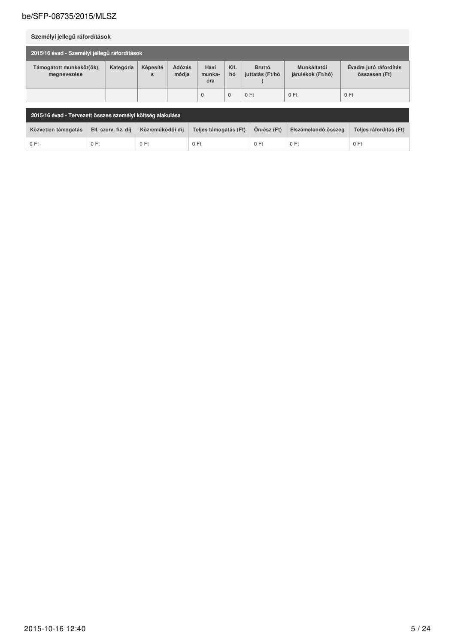| Személyi jellegű ráfordítások                |           |               |                 |                       |              |                                  |                                  |                                         |
|----------------------------------------------|-----------|---------------|-----------------|-----------------------|--------------|----------------------------------|----------------------------------|-----------------------------------------|
| 2015/16 évad - Személyi jellegű ráfordítások |           |               |                 |                       |              |                                  |                                  |                                         |
| Támogatott munkakör(ök)<br>megnevezése       | Kategória | Képesíté<br>S | Adózás<br>módja | Havi<br>munka-<br>óra | Kif.<br>hó   | <b>Bruttó</b><br>juttatás (Ft/hó | Munkáltatói<br>járulékok (Ft/hó) | Évadra jutó ráfordítás<br>összesen (Ft) |
|                                              |           |               |                 | $\mathbf 0$           | $\mathbf{0}$ | 0 Ft                             | 0 Ft                             | 0 Ft                                    |

| 2015/16 évad - Tervezett összes személyi költség alakulása |                      |                  |                       |             |                     |                        |
|------------------------------------------------------------|----------------------|------------------|-----------------------|-------------|---------------------|------------------------|
| Közvetlen támogatás                                        | Ell. szerv. fiz. díj | Közreműködői díi | Teljes támogatás (Ft) | Önrész (Ft) | Elszámolandó összeg | Telies ráfordítás (Ft) |
| 0 Ft                                                       | 0 Ft                 | $0$ Ft           | 0 Ft                  | 0 Ft        | 0 Ft                | 0 Ft                   |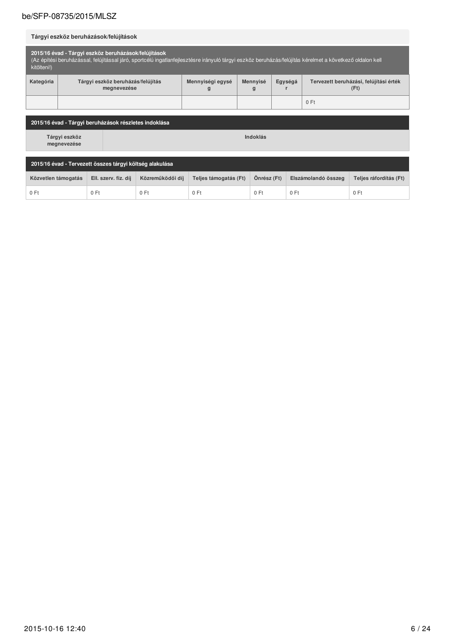## Tárgyi eszköz beruházások/felújítások

| 2015/16 évad - Tárgyi eszköz beruházások/felújítások<br>(Az építési beruházással, felújítással járó, sportcélú ingatlanfejlesztésre irányuló tárgyi eszköz beruházás/felújítás kérelmet a következő oldalon kell<br>kitölteni!) |                                                  |                       |               |         |                                                |  |  |
|---------------------------------------------------------------------------------------------------------------------------------------------------------------------------------------------------------------------------------|--------------------------------------------------|-----------------------|---------------|---------|------------------------------------------------|--|--|
| Kategória                                                                                                                                                                                                                       | Tárgyi eszköz beruházás/felújítás<br>megnevezése | Mennyiségi egysé<br>g | Mennyisé<br>g | Egységá | Tervezett beruházási, felújítási érték<br>(Ft) |  |  |
|                                                                                                                                                                                                                                 |                                                  |                       |               |         | 0 Ft                                           |  |  |

| 2015/16 évad - Tárgyi beruházások részletes indoklása    |                      |                  |                       |             |                     |                        |  |
|----------------------------------------------------------|----------------------|------------------|-----------------------|-------------|---------------------|------------------------|--|
| Tárgyi eszköz<br>megnevezése                             | Indoklás             |                  |                       |             |                     |                        |  |
| 2015/16 évad - Tervezett összes tárgyi költség alakulása |                      |                  |                       |             |                     |                        |  |
| Közvetlen támogatás                                      | Ell. szerv. fiz. díj | Közreműködői díj | Teljes támogatás (Ft) | Önrész (Ft) | Elszámolandó összeg | Teljes ráfordítás (Ft) |  |
| 0 Ft                                                     | 0 Ft                 | 0 Ft             | 0 Ft                  | 0 Ft        | 0 Ft                | 0 Ft                   |  |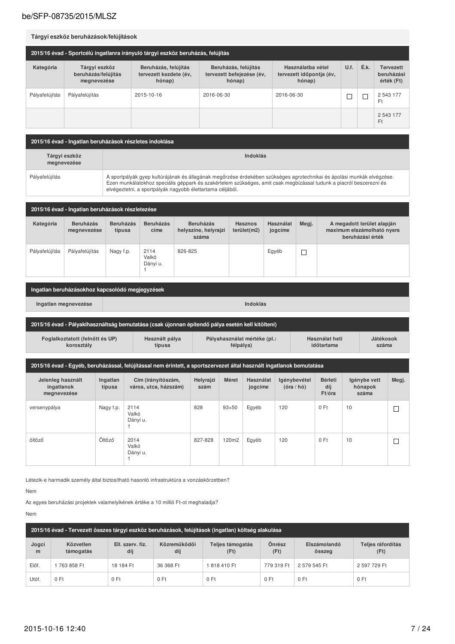#### Tárgyi eszköz beruházások/felújítások 2015/16 évad - Sportcélú ingatlanra irányuló tárgyi eszköz beruházás, felújítás Beruházás, felújítás Használatba vétel U.f. É.k. Kategória Tárgyi eszköz Beruházás, felújítás Tervezett beruházás/felújítás tervezett befejezése (év, tervezett kezdete (év, tervezett időpontja (év, beruházási érték (Ft) megnevezése hónap) hónap) hónap) 2016-06-30 Pályafelújítás Pályafelújítás 2015-10-16 2016-06-30 2 543 177  $\Box$  $\Box$  $F_t$ 2 543 177  $F<sub>t</sub>$

2015/16 évad - Ingatlan beruházások részletes indoklása Indoklás Tárgyi eszköz megnevezése A sportpályák gyep kultúrájának és állagának megőrzése érdekében szükséges agrotechnikai és ápolási munkák elvégzése.<br>Ezen munkálatokhoz speciális géppark és szakértelem szükséges, amit csak megbízással tudunk a piacról be Pályafelújítás

| 2015/16 évad - Ingatlan beruházások részletezése |                                 |                            |                           |                                                   |                               |                      |       |                                                                              |
|--------------------------------------------------|---------------------------------|----------------------------|---------------------------|---------------------------------------------------|-------------------------------|----------------------|-------|------------------------------------------------------------------------------|
| Kategória                                        | <b>Beruházás</b><br>megnevezése | <b>Beruházás</b><br>típusa | <b>Beruházás</b><br>címe  | <b>Beruházás</b><br>helyszíne, helyrajzi<br>száma | <b>Hasznos</b><br>terület(m2) | Használat<br>jogcíme | Megj. | A megadott terület alapján<br>maximum elszámolható nyers<br>beruházási érték |
| Pályafelújítás                                   | Pályafelújítás                  | Nagy f.p.                  | 2114<br>Valkó<br>Dányi u. | 826-825                                           |                               | Egyéb                |       |                                                                              |

| Ingatlan beruházásokhoz kapcsolódó megjegyzések                                                                                                                              |                                                                                                  |  |  |  |  |  |  |  |  |
|------------------------------------------------------------------------------------------------------------------------------------------------------------------------------|--------------------------------------------------------------------------------------------------|--|--|--|--|--|--|--|--|
| Ingatian megnevezése                                                                                                                                                         | Indoklás                                                                                         |  |  |  |  |  |  |  |  |
|                                                                                                                                                                              | 2015/16 évad - Pályakihasználtság bemutatása (csak újonnan építendő pálya esetén kell kitölteni) |  |  |  |  |  |  |  |  |
| Pályahasználat mértéke (pl.:<br>Foglalkoztatott (felnőtt és UP)<br>Használt pálya<br>Használat heti<br>Játékosok<br>korosztály<br>félpálya)<br>típusa<br>időtartama<br>száma |                                                                                                  |  |  |  |  |  |  |  |  |

| 2015/16 évad - Egyéb, beruházással, felújítással nem érintett, a sportszervezet által használt ingatlanok bemutatása |                    |                                             |                   |              |                      |                            |                                 |                                  |       |
|----------------------------------------------------------------------------------------------------------------------|--------------------|---------------------------------------------|-------------------|--------------|----------------------|----------------------------|---------------------------------|----------------------------------|-------|
| Jelenleg használt<br>ingatlanok<br>megnevezése                                                                       | Ingatlan<br>típusa | Cím (irányítószám,<br>város, utca, házszám) | Helyrajzi<br>szám | Méret        | Használat<br>jogcíme | lgénybevétel<br>(óra / hó) | <b>Bérleti</b><br>díj<br>Ft/óra | Igénybe vett<br>hónapok<br>száma | Megj. |
| versenypálya                                                                                                         | Nagy f.p.          | 2114<br>Valkó<br>Dányi u.                   | 828               | $93\times50$ | Egyéb                | 120                        | 0 Ft                            | 10                               |       |
| öltöző                                                                                                               | Öltöző             | 2014<br>Valkó<br>Dányi u.                   | 827-828           | 120m2        | Egyéb                | 120                        | 0 Ft                            | 10                               | П     |

Létezik-e harmadik személy által biztosítható hasonló infrastruktúra a vonzáskörzetben?

Nem

Az egyes beruházási projektek valamelyikének értéke a 10 millió Ft-ot meghaladja?

Nem

| 2015/16 évad - Tervezett összes tárgyi eszköz beruházások, felújítások (ingatlan) költség alakulása |                        |                         |                     |                          |                |                        |                           |  |  |
|-----------------------------------------------------------------------------------------------------|------------------------|-------------------------|---------------------|--------------------------|----------------|------------------------|---------------------------|--|--|
| Jogcí<br>m                                                                                          | Közvetlen<br>támogatás | Ell. szerv. fiz.<br>díj | Közreműködői<br>díj | Teljes támogatás<br>(Ft) | Önrész<br>(Ft) | Elszámolandó<br>összeg | Teljes ráfordítás<br>(Ft) |  |  |
| Előf.                                                                                               | 763 858 Ft             | 18 184 Ft               | 36 368 Ft           | 818 410 Ft               | 779 319 Ft     | 2 579 545 Ft           | 2 597 729 Ft              |  |  |
| Utóf.                                                                                               | 0 Ft                   | 0 Ft                    | 0 Ft                | 0 Ft                     | 0 Ft           | 0 Ft                   | 0 Ft                      |  |  |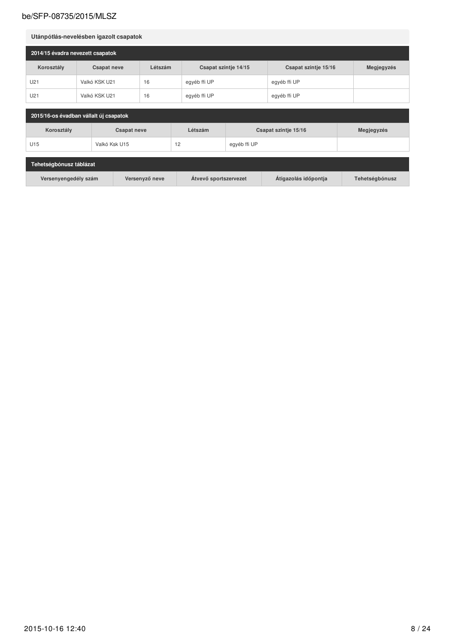| Utánpótlás-nevelésben igazolt csapatok |                    |         |                      |                      |            |  |  |  |
|----------------------------------------|--------------------|---------|----------------------|----------------------|------------|--|--|--|
| 2014/15 évadra nevezett csapatok       |                    |         |                      |                      |            |  |  |  |
| Korosztály                             | <b>Csapat neve</b> | Létszám | Csapat szintje 14/15 | Csapat szintje 15/16 | Megjegyzés |  |  |  |
| U21                                    | Valkó KSK U21      | 16      | egyéb ffi UP         | egyéb ffi UP         |            |  |  |  |
| U21                                    | Valkó KSK U21      | 16      | egyéb ffi UP         | egyéb ffi UP         |            |  |  |  |

| 2015/16-os évadban vállalt új csapatok |               |         |                      |            |  |  |  |
|----------------------------------------|---------------|---------|----------------------|------------|--|--|--|
| Korosztály<br><b>Csapat neve</b>       |               | Létszám | Csapat szintje 15/16 | Megjegyzés |  |  |  |
| U <sub>15</sub>                        | Valkó Ksk U15 | 12      | egyéb ffi UP         |            |  |  |  |

| Tehetségbónusz táblázat |                |                       |                      |                |
|-------------------------|----------------|-----------------------|----------------------|----------------|
| Versenyengedély szám    | Versenyző neve | Atvevő sportszervezet | Atigazolás időpontja | Tehetségbónusz |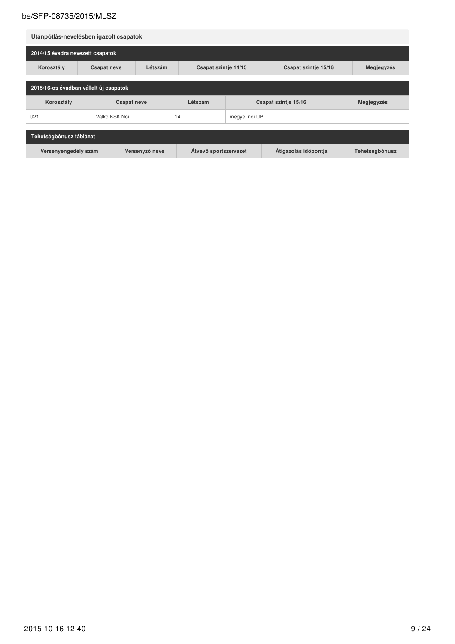| Utánpótlás-nevelésben igazolt csapatok |                    |         |                      |                      |                      |            |  |  |
|----------------------------------------|--------------------|---------|----------------------|----------------------|----------------------|------------|--|--|
| 2014/15 évadra nevezett csapatok       |                    |         |                      |                      |                      |            |  |  |
| Korosztály                             | <b>Csapat neve</b> | Létszám | Csapat szintje 14/15 |                      | Csapat szintje 15/16 | Megjegyzés |  |  |
| 2015/16-os évadban vállalt új csapatok |                    |         |                      |                      |                      |            |  |  |
| Korosztály                             | <b>Csapat neve</b> |         | Létszám              | Csapat szintje 15/16 |                      | Megjegyzés |  |  |
|                                        |                    |         |                      |                      |                      |            |  |  |
| U21                                    | Valkó KSK Női      |         | 14                   | megyei női UP        |                      |            |  |  |
| Tehetségbónusz táblázat                |                    |         |                      |                      |                      |            |  |  |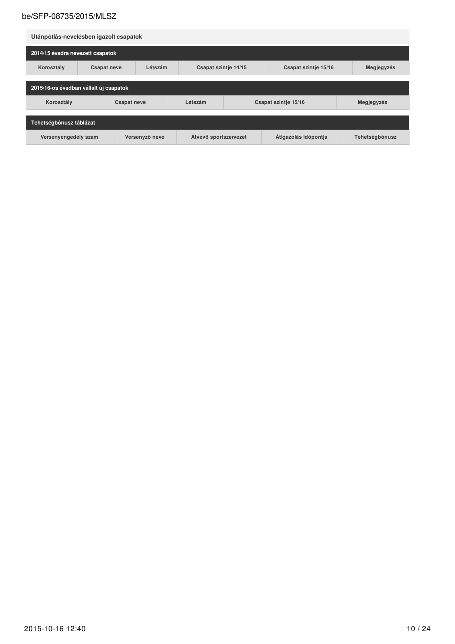| Utánpótlás-nevelésben igazolt csapatok                                                  |                    |                                                         |         |                      |                |            |  |  |
|-----------------------------------------------------------------------------------------|--------------------|---------------------------------------------------------|---------|----------------------|----------------|------------|--|--|
| 2014/15 évadra nevezett csapatok                                                        |                    |                                                         |         |                      |                |            |  |  |
| Korosztály                                                                              | <b>Csapat neve</b> | Létszám<br>Csapat szintje 14/15<br>Csapat szintje 15/16 |         |                      | Megjegyzés     |            |  |  |
| 2015/16-os évadban vállalt új csapatok                                                  |                    |                                                         |         |                      |                |            |  |  |
| Korosztály                                                                              |                    | <b>Csapat neve</b>                                      | Létszám | Csapat szintje 15/16 |                | Megjegyzés |  |  |
| Tehetségbónusz táblázat                                                                 |                    |                                                         |         |                      |                |            |  |  |
| Átigazolás időpontja<br>Átvevő sportszervezet<br>Versenyző neve<br>Versenyengedély szám |                    |                                                         |         |                      | Tehetségbónusz |            |  |  |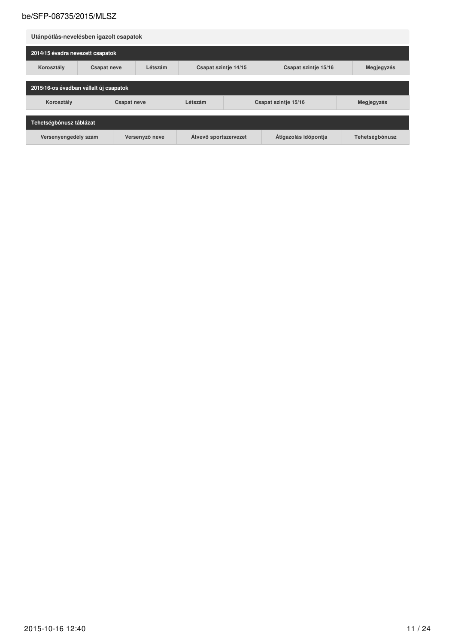| Utánpótlás-nevelésben igazolt csapatok                                                  |                    |                                                         |         |                      |                |            |  |  |
|-----------------------------------------------------------------------------------------|--------------------|---------------------------------------------------------|---------|----------------------|----------------|------------|--|--|
| 2014/15 évadra nevezett csapatok                                                        |                    |                                                         |         |                      |                |            |  |  |
| Korosztály                                                                              | <b>Csapat neve</b> | Létszám<br>Csapat szintje 14/15<br>Csapat szintje 15/16 |         |                      | Megjegyzés     |            |  |  |
| 2015/16-os évadban vállalt új csapatok                                                  |                    |                                                         |         |                      |                |            |  |  |
| Korosztály                                                                              |                    | <b>Csapat neve</b>                                      | Létszám | Csapat szintje 15/16 |                | Megjegyzés |  |  |
| Tehetségbónusz táblázat                                                                 |                    |                                                         |         |                      |                |            |  |  |
| Átigazolás időpontja<br>Átvevő sportszervezet<br>Versenyző neve<br>Versenyengedély szám |                    |                                                         |         |                      | Tehetségbónusz |            |  |  |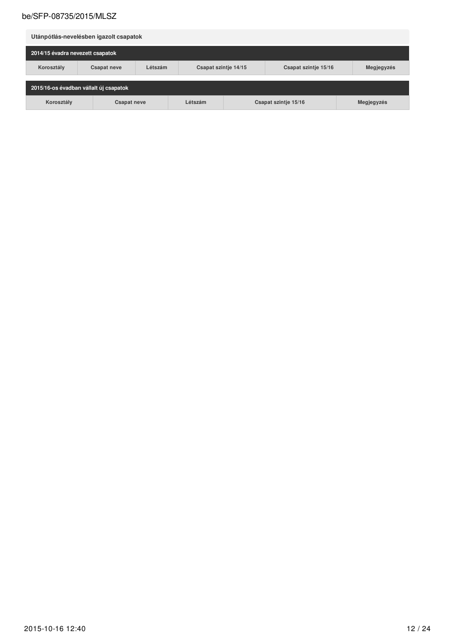| Utánpótlás-nevelésben igazolt csapatok |                                                                     |         |                                              |  |  |            |  |  |
|----------------------------------------|---------------------------------------------------------------------|---------|----------------------------------------------|--|--|------------|--|--|
| 2014/15 évadra nevezett csapatok       |                                                                     |         |                                              |  |  |            |  |  |
| Korosztály                             | <b>Csapat neve</b>                                                  | Létszám | Csapat szintje 14/15<br>Csapat szintje 15/16 |  |  | Megjegyzés |  |  |
|                                        | 2015/16-os évadban vállalt új csapatok                              |         |                                              |  |  |            |  |  |
| Korosztály                             | Létszám<br>Megjegyzés<br>Csapat szintje 15/16<br><b>Csapat neve</b> |         |                                              |  |  |            |  |  |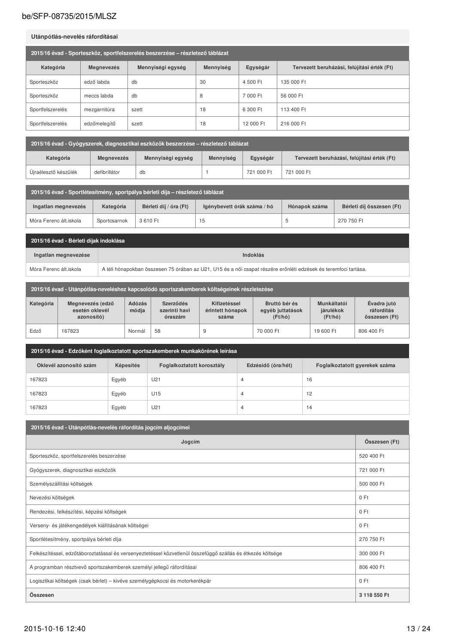#### Utánpótlás-nevelés ráfordításai

| 2015/16 évad - Sporteszköz, sportfelszerelés beszerzése – részletező táblázat |                   |                   |           |           |                                             |  |  |  |
|-------------------------------------------------------------------------------|-------------------|-------------------|-----------|-----------|---------------------------------------------|--|--|--|
| Kategória                                                                     | <b>Megnevezés</b> | Mennyiségi egység | Mennyiség | Egységár  | Tervezett beruházási, felújítási érték (Ft) |  |  |  |
| Sporteszköz                                                                   | edző labda        | db                | 30        | 4 500 Ft  | 135 000 Ft                                  |  |  |  |
| Sporteszköz                                                                   | meccs labda       | db                | 8         | 7 000 Ft  | 56 000 Ft                                   |  |  |  |
| Sportfelszerelés                                                              | mezgarnitúra      | szett             | 18        | 6 300 Ft  | 113 400 Ft                                  |  |  |  |
| Sportfelszerelés                                                              | edzőmelegítő      | szett             | 18        | 12 000 Ft | 216 000 Ft                                  |  |  |  |

2015/16 évad - Gyógyszerek, diagnosztikai eszközök beszerzése – részletező táblázat

| Kategória            | <b>Megnevezés</b> | Mennyiségi egység | Mennyiség | Egységár   | Tervezett beruházási, felújítási érték (Ft) |
|----------------------|-------------------|-------------------|-----------|------------|---------------------------------------------|
| Újraélesztő készülék | defibrillátor     | db                |           | 721 000 Ft | 721 000 Ft                                  |

| 2015/16 évad - Sportlétesítmény, sportpálya bérleti díja – részletező táblázat |              |                        |                             |               |                           |  |
|--------------------------------------------------------------------------------|--------------|------------------------|-----------------------------|---------------|---------------------------|--|
| Ingatlan megnevezés                                                            | Kategória    | Bérleti díj / óra (Ft) | Igénybevett órák száma / hó | Hónapok száma | Bérleti díj összesen (Ft) |  |
| Móra Ferenc ált.iskola                                                         | Sportcsarnok | 3610 Ft                | 15                          |               | 270 750 Ft                |  |

| 2015/16 évad - Bérleti díjak indoklása |                                                                                                                 |  |  |  |
|----------------------------------------|-----------------------------------------------------------------------------------------------------------------|--|--|--|
| Ingatlan megnevezése                   | Indoklás                                                                                                        |  |  |  |
| Móra Ferenc ált.iskola                 | A téli hónapokban összesen 75 órában az U21, U15 és a női csapat részére erőnléti edzések és teremfoci tartása. |  |  |  |

|           | 2015/16 évad - Utánpótlás-neveléshez kapcsolódó sportszakemberek költségeinek részletezése |                        |                                       |                                           |                                              |                                     |                                            |  |
|-----------|--------------------------------------------------------------------------------------------|------------------------|---------------------------------------|-------------------------------------------|----------------------------------------------|-------------------------------------|--------------------------------------------|--|
| Kategória | Megnevezés (edző<br>esetén oklevél<br>azonosító)                                           | <b>Adózás</b><br>módja | Szerződés<br>szerinti havi<br>óraszám | Kifizetéssel<br>érintett hónapok<br>száma | Bruttó bér és<br>egyéb juttatások<br>(Ft/ho) | Munkáltatói<br>járulékok<br>(Ft/hó) | Évadra jutó<br>ráfordítás<br>összesen (Ft) |  |
| Edző      | 167823                                                                                     | Normál                 | 58                                    | 9                                         | 70 000 Ft                                    | 19 600 Ft                           | 806 400 Ft                                 |  |

| 2015/16 évad - Edzőként foglalkoztatott sportszakemberek munkakörének leírása |           |                            |                    |                                |  |  |  |
|-------------------------------------------------------------------------------|-----------|----------------------------|--------------------|--------------------------------|--|--|--|
| Oklevél azonosító szám                                                        | Képesítés | Foglalkoztatott korosztály | Edzésidő (óra/hét) | Foglalkoztatott gyerekek száma |  |  |  |
| 167823                                                                        | Egyéb     | U21                        | 4                  | 16                             |  |  |  |
| 167823                                                                        | Egyéb     | U15                        | 4                  | 12                             |  |  |  |
| 167823                                                                        | Egyéb     | U21                        | 4                  | 14                             |  |  |  |

| 2015/16 évad - Utánpótlás-nevelés ráfordítás jogcím aljogcímei                                              |               |  |  |  |  |  |  |
|-------------------------------------------------------------------------------------------------------------|---------------|--|--|--|--|--|--|
| Jogcím                                                                                                      | Összesen (Ft) |  |  |  |  |  |  |
| Sporteszköz, sportfelszerelés beszerzése                                                                    | 520 400 Ft    |  |  |  |  |  |  |
| Gyógyszerek, diagnosztikai eszközök                                                                         | 721 000 Ft    |  |  |  |  |  |  |
| Személyszállítási költségek                                                                                 | 500 000 Ft    |  |  |  |  |  |  |
| Nevezési költségek                                                                                          | 0 Ft          |  |  |  |  |  |  |
| Rendezési, felkészítési, képzési költségek                                                                  | 0 Ft          |  |  |  |  |  |  |
| Verseny- és játékengedélyek kiállításának költségei                                                         | 0 Ft          |  |  |  |  |  |  |
| Sportlétesítmény, sportpálya bérleti díja                                                                   | 270 750 Ft    |  |  |  |  |  |  |
| Felkészítéssel, edzőtáboroztatással és versenyeztetéssel közvetlenül összefüggő szállás és étkezés költsége | 300 000 Ft    |  |  |  |  |  |  |
| A programban résztvevő sportszakemberek személyi jellegű ráfordításai                                       | 806 400 Ft    |  |  |  |  |  |  |
| Logisztikai költségek (csak bérlet) – kivéve személygépkocsi és motorkerékpár                               | 0 Ft          |  |  |  |  |  |  |
| Összesen                                                                                                    | 3 118 550 Ft  |  |  |  |  |  |  |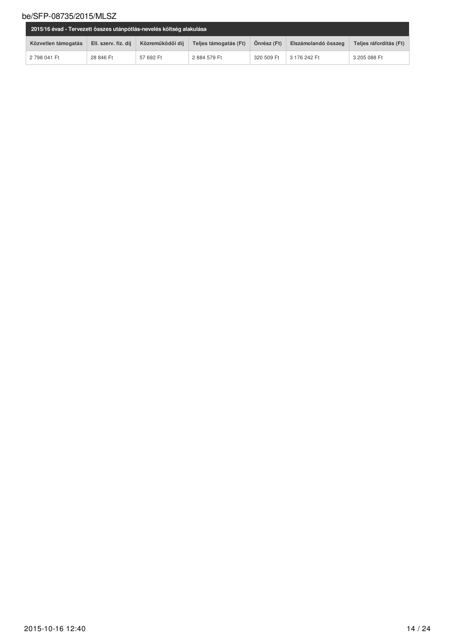| 2015/16 évad - Tervezett összes utánpótlás-nevelés költség alakulása |                      |                  |                       |             |                     |                        |
|----------------------------------------------------------------------|----------------------|------------------|-----------------------|-------------|---------------------|------------------------|
| Közvetlen támogatás                                                  | Ell. szerv. fiz. díj | Közreműködői díi | Teljes támogatás (Ft) | Önrész (Ft) | Elszámolandó összeg | Telies ráfordítás (Ft) |
| 2 798 041 Ft                                                         | 28 846 Ft            | 57 692 Ft        | 2884 579 Ft           | 320 509 Ft  | 3 176 242 Ft        | 3 205 088 Ft           |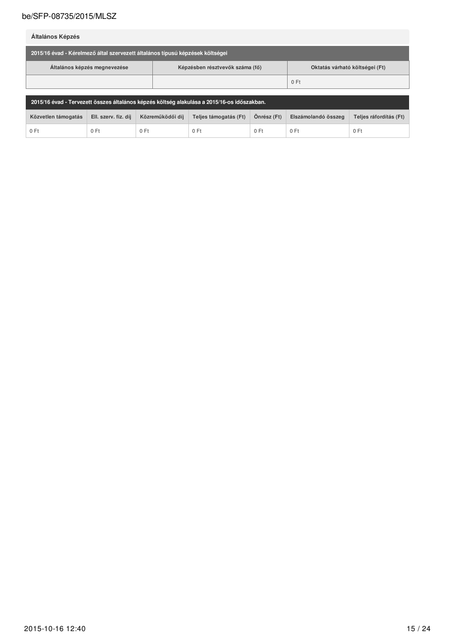Általános Képzés

| 2015/16 évad - Kérelmező által szervezett általános típusú képzések költségei |                                 |                                |  |  |  |  |
|-------------------------------------------------------------------------------|---------------------------------|--------------------------------|--|--|--|--|
| Általános képzés megnevezése                                                  | Képzésben résztvevők száma (fő) | Oktatás várható költségei (Ft) |  |  |  |  |
|                                                                               |                                 | 0 Ft                           |  |  |  |  |

| ⊤ 2015/16 évad - Tervezett összes általános képzés költség alakulása a 2015/16-os időszakban. <sup>'</sup> |                      |                  |                       |             |                     |                        |  |
|------------------------------------------------------------------------------------------------------------|----------------------|------------------|-----------------------|-------------|---------------------|------------------------|--|
| Közvetlen támogatás                                                                                        | Ell. szerv. fiz. díj | Közreműködői díi | Teljes támogatás (Ft) | Önrész (Ft) | Elszámolandó összeg | Teljes ráfordítás (Ft) |  |
| 0 Ft                                                                                                       |                      | $0$ Ft           | $0$ Ft                | $0$ Ft      | $0$ Ft              | 0 Ft                   |  |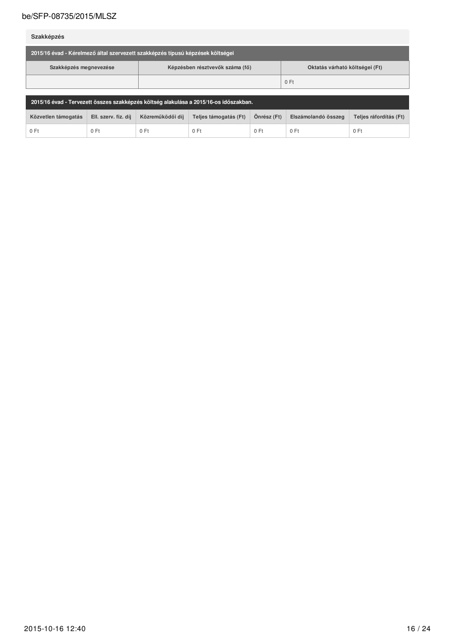Szakképzés

| 2015/16 évad - Kérelmező által szervezett szakképzés típusú képzések költségei |                                                                   |      |  |  |  |  |  |
|--------------------------------------------------------------------------------|-------------------------------------------------------------------|------|--|--|--|--|--|
| Szakképzés megnevezése                                                         | Képzésben résztvevők száma (fő)<br>Oktatás várható költségei (Ft) |      |  |  |  |  |  |
|                                                                                |                                                                   | 0 Ft |  |  |  |  |  |

| 2015/16 évad - Tervezett összes szakképzés költség alakulása a 2015/16-os időszakban. |                      |                  |                       |             |                     |                        |  |
|---------------------------------------------------------------------------------------|----------------------|------------------|-----------------------|-------------|---------------------|------------------------|--|
| Közvetlen támogatás                                                                   | Ell. szerv. fiz. díj | Közreműködői díi | Teljes támogatás (Ft) | Önrész (Ft) | Elszámolandó összeg | Telies ráfordítás (Ft) |  |
| 0 Ft                                                                                  | $0$ Ft               | $0$ Ft           | 0 Ft                  | 0 Ft        | $0$ Ft              | 0 Ft                   |  |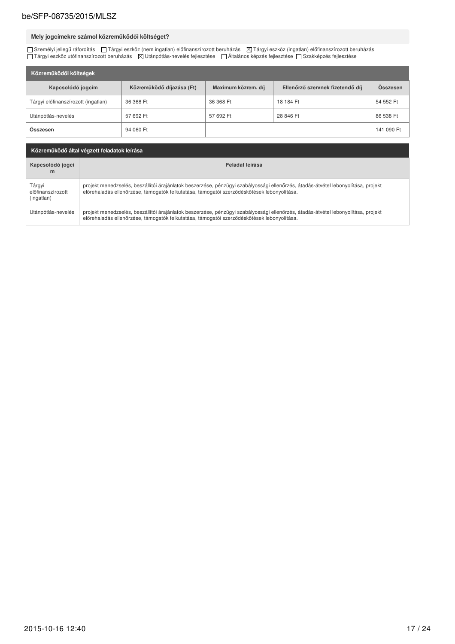## Mely jogcímekre számol közreműködői költséget?

□ Személyi jellegű ráfordítás □ Tárgyi eszköz (nem ingatlan) előfinanszírozott beruházás Ø Tárgyi eszköz (ingatlan) előfinanszírozott beruházás<br>□ Tárgyi eszköz utófinanszírozott beruházás Ø Utánpótlás-nevelés fejlesztése

| Közreműködői költségek              |                           |                     |                                  |            |  |  |  |  |
|-------------------------------------|---------------------------|---------------------|----------------------------------|------------|--|--|--|--|
| Kapcsolódó jogcím                   | Közreműködő díjazása (Ft) | Maximum közrem. díj | Ellenőrző szervnek fizetendő díj | Osszesen   |  |  |  |  |
| Tárgyi előfinanszírozott (ingatlan) | 36 368 Ft                 | 36 368 Ft           | 18 184 Ft                        | 54 552 Ft  |  |  |  |  |
| Utánpótlás-nevelés                  | 57 692 Ft                 | 57 692 Ft           | 28 846 Ft                        | 86 538 Ft  |  |  |  |  |
| Összesen                            | 94 060 Ft                 |                     |                                  | 141 090 Ft |  |  |  |  |

| Közreműködő által végzett feladatok leírása |                                                                                                                                                                                                                                 |  |  |  |  |
|---------------------------------------------|---------------------------------------------------------------------------------------------------------------------------------------------------------------------------------------------------------------------------------|--|--|--|--|
| Kapcsolódó jogcí<br>m                       | Feladat leírása                                                                                                                                                                                                                 |  |  |  |  |
| Tárgyi<br>előfinanszírozott<br>(ingatlan)   | projekt menedzselés, beszállítói árajánlatok beszerzése, pénzügyi szabályossági ellenőrzés, átadás-átvétel lebonyolítása, projekt<br>előrehaladás ellenőrzése, támogatók felkutatása, támogatói szerződéskötések lebonyolítása. |  |  |  |  |
| Utánpótlás-nevelés                          | projekt menedzselés, beszállítói árajánlatok beszerzése, pénzügyi szabályossági ellenőrzés, átadás-átvétel lebonyolítása, projekt<br>előrehaladás ellenőrzése, támogatók felkutatása, támogatói szerződéskötések lebonyolítása. |  |  |  |  |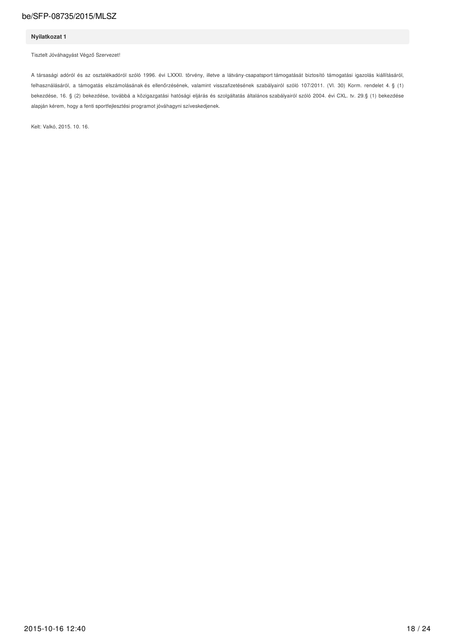#### Nyilatkozat 1

Tisztelt Jóváhagyást Végző Szervezet!

A társasági adóról és az osztalékadóról szóló 1996. évi LXXXI. törvény, illetve a látvány-csapatsport támogatását biztosító támogatási igazolás kiállításáról, felhasználásáról, a támogatás elszámolásának és ellenőrzésének, valamint visszafizetésének szabályairól szóló 107/2011. (VI. 30) Korm. rendelet 4. § (1) bekezdése, 16. § (2) bekezdése, továbbá a közigazgatási hatósági eljárás és szolgáltatás általános szabályairól szóló 2004. évi CXL. tv. 29.§ (1) bekezdése alapján kérem, hogy a fenti sportfejlesztési programot jóváhagyni szíveskedjenek.

Kelt: Valkó, 2015. 10. 16.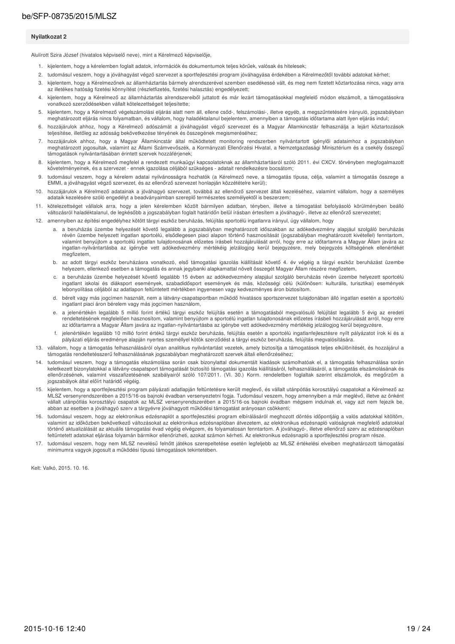#### Nyilatkozat 2

Alulírott Szira József (hivatalos képviselő neve), mint a Kérelmező képviselője.

- 1. kijelentem, hogy a kérelemben foglalt adatok, információk és dokumentumok teljes körűek, valósak és hitelesek:
- 2. tudomásul veszem, hogy a jóváhagyást végző szervezet a sportfejlesztési program jóváhagyása érdekében a Kérelmezőtől további adatokat kérhet;
- 3. kijelentem, hogy a Kérelmezőnek az államháztartás bármely alrendszerével szemben esedékessé vált, és meg nem fizetett köztartozása nincs, vagy arra az illetékes hatóság fizetési könnyítést (részletfizetés, fizetési halasztás) engedélyezett;
- 4. kijelentem, hogy a Kérelmező az államháztartás alrendszereiből juttatott és már lezárt támogatásokkal megfelelő módon elszámolt, a támogatásokra vonatkozó szerződésekben vállalt kötelezettségeit teliesítette:
- kijelentem, hogy a Kérelmező végelszámolási eljárás alatt nem áll, ellene csőd-, felszámolási-, illetve egyéb, a megszűntetésére irányuló, jogszabályban  $5.$ meghatározott eljárás nincs folyamatban, és vállalom, hogy haladéktalanul bejelentem, amennyiben a támogatás időtartama alatt ilyen eljárás indul;
- 6. hozzájárulok ahhoz, hogy a Kérelmező adószámát a jóváhagyást végző szervezet és a Magyar Államkincstár felhasználja a lejárt köztartozások teljesítése, illetőleg az adósság bekövetkezése tényének és összegének megismeréséhez;
- 7. hozzájárulok ahhoz, hogy a Magyar Államkincstár által működtetett monitoring rendszerben nyilvántartott igénylői adataimhoz a jogszabályban meghatározott jogosultak, valamint az Állami Számvevőszék, a Kormányzati Ellenőrzési Hivatal, a Nemzetgazdasági Minisztérium és a csekély összegű támogatások nyilvántartásában érintett szervek hozzáférjenek;
- kijelentem, hogy a Kérelmező megfelel a rendezett munkaügyi kapcsolatoknak az államháztartásról szóló 2011. évi CXCV. törvényben megfogalmazott 8. követelményeinek, és a szervezet - ennek igazolása céljából szükséges - adatait rendelkezésre bocsátom;
- tudomásul veszem, hogy a kérelem adatai nyilvánosságra hozhatók (a Kérelmező neve, a támogatás típusa, célja, valamint a támogatás összege a 9 EMMI, a jóváhagyást végző szervezet, és az ellenőrző szervezet honlapján közzétételre kerül);
- 10. hozzájárulok a Kérelmező adatainak a jóváhagyó szervezet, továbbá az ellenőrző szervezet általi kezeléséhez, valamint vállalom, hogy a személyes adataik kezelésére szóló engedélyt a beadványaimban szereplő természetes személyektől is beszerzem;
- kötelezettséget vállalok arra, hogy a jelen kérelemben közölt bármilyen adatban, tényben, illetve a támogatást befolyásoló körülményben beálló  $11.$ változásról haladéktalanul, de legkésőbb a jogszabályban foglalt határidőn belül írásban értesítem a jóváhagyó-, illetve az ellenőrző szervezetet;
- 12. amennyiben az építési engedélyhez kötött tárgyi eszköz beruházás, felújítás sportcélú ingatlanra irányul, úgy vállalom, hogy
	- a. a beruházás üzembe helyezését követő legalább a jogszabályban meghatározott időszakban az adókedvezmény alapjául szolgáló beruházás révén üzembe helyezett ingatlan sportcélú, elsődlegesen piaci alapon történő hasznosítását (jogszabályban meghatározott kivétellel) fenntartom, valamint benyújtom a sportcélú ingatlan tulajdonosának előzetes írásbeli hozzájárulását arról, hogy erre az időtartamra a Magyar Állam javára az ingatlan-nyilvántartásba az igénybe vett adókedvezmény mértékéig jelzálogjog kerül bejegyzésre, mely bejegyzés költségének ellenértékét megfizetem
	- b. az adott tárgyi eszköz beruházásra vonatkozó, első támogatási igazolás kiállítását követő 4. év végéig a tárgyi eszköz beruházást üzembe helyezem, ellenkező esetben a támogatás és annak jegybanki alapkamattal növelt összegét Magyar Állam részére megfizetem.
	- c. a beruházás üzembe helyezését követő legalább 15 évben az adókedvezmény alapjául szolgáló beruházás révén üzembe helyezett sportcélú ingatlant iskolai és diáksport események, szabadidősport események és más, közösségi célú (különösen: kulturális, turisztikai) események lebonyolítása céljából az adatlapon feltűntetett mértékben ingyenesen vagy kedvezményes áron biztosítom.
	- d. bérelt vagy más jogcímen használt, nem a látvány-csapatsportban működő hivatásos sportszervezet tulajdonában álló ingatlan esetén a sportcélú ingatlant piaci áron bérelem vagy más jogcímen használom,
	- e. a jelenértékén legalább 5 millió forint értékű tárgyi eszköz felújítás esetén a támogatásból megvalósuló felújítást legalább 5 évig az eredeti rendeltetésének megfelelően hasznosítom, valamint benyújtom a sportcélú ingatlan tulajdonosának előzetes írásbeli hozzájárulását arról, hogy erre az időtartamra a Magyar Állam javára az ingatlan-nyilvántartásba az igénybe vett adókedvezmény mértékéig jelzálogjog kerül bejegyzésre
	- jelenértékén legalább 10 millió forint értékű tárgyi eszköz beruházás, felújítás esetén a sportcélú ingatlanfejlesztésre nyílt pályázatot írok ki és a pályázati eljárás eredménye alapján nyertes személlyel kötök szerződést a tárgyi eszköz beruházás, felújítás megvalósítására.
- 13. vállalom, hogy a támogatás felhasználásáról olyan analitikus nyilvántartást vezetek, amely biztosítja a támogatások teljes elkülönítését, és hozzájárul a támogatás rendeltetésszerű felhasználásának jogszabályban meghatározott szervek általi ellenőrzéséhez;
- 14. tudomásul veszem, hogy a támogatás elszámolása során csak bizonylattal dokumentált kiadások számolhatóak el, a támogatás felhasználása során keletkezett bizonylatokkal a látvány-csapatsport támogatását biztosító támogatási igazolás kiállításáról, felhasználásáról, a támogatás elszámolásának és ellenőrzésének, valamint visszafizetésének szabályairól szóló 107/2011. (VI. 30.) Korm. rendeletben foglaltak szerint elszámolok, és megőrzöm a jogszabályok által előírt határidő végéig.
- 15. kijelentem, hogy a sportfejlesztési program pályázati adatlapján feltüntetésre került meglevő, és vállalt utánpótlás korosztályú csapatokat a Kérelmező az MLSZ versenyrendszerében a 2015/16-os bajnoki évadban versenyeztetni fogja. Tudomásul veszem, hogy amennyiben a már meglévő, illetve az önként vállalt utánpótlás korosztályú csapatok az MLSZ versenyrendszerében a 2015/16-o abban az esetben a jóváhagyó szerv a tárgyévre jóváhagyott működési támogatást arányosan csökkenti;
- 16. tudomásul veszem, hogy az elektronikus edzésnaplót a sportfejlesztési program elbírálásáról meghozott döntés időpontjáig a valós adatokkal kitöltöm, valamint az időközben bekövetkező változásokat az elektronikus edzésnaplóban átvezetem, az elektronikus edzésnapló valóságnak megfelelő adatokkal történő aktualizálását az aktuális támogatási évad végéig elvégzem, és folyamatosan fenntartom. A jóváhagyó-, illetve ellenőrző szerv az edzésnaplóban feltüntetett adatokat eljárása folyamán bármikor ellenőrizheti, azokat számon kérheti. Az elektronikus edzésnapló a sportfejlesztési program része
- 17. tudomásul veszem, hogy nem MLSZ nevelésű felnőtt játékos szerepeltetése esetén legfeljebb az MLSZ értékelési elveiben meghatározott támogatási minimumra vagyok jogosult a működési típusú támogatások tekintetében.

Kelt: Valkó, 2015. 10. 16.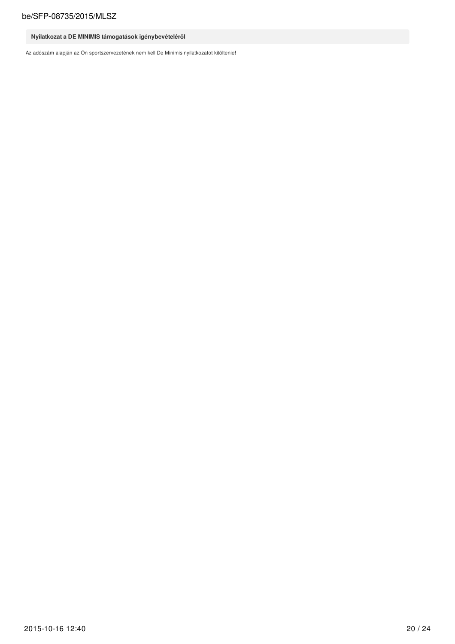## Nyilatkozat a DE MINIMIS támogatások igénybevételéről

Az adószám alapján az Ön sportszervezetének nem kell De Minimis nyilatkozatot kitöltenie!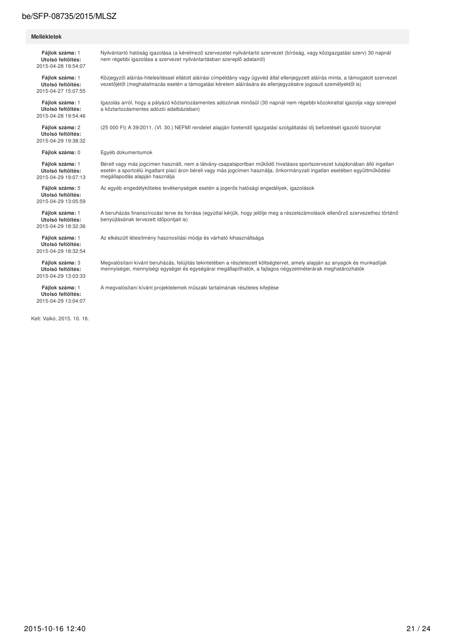#### Mellékletek

Fájlok száma: 1 Utolsó feltöltés: 2015-04-28 19:54:07

Fáilok száma: 1 Utolsó feltöltés: 2015-04-27 15:07:55

Fájlok száma: 1 Utolsó feltöltés: 2015-04-28 19:54:46

Fáilok száma: 2 **Iltolsó feltöltés:** 2015-04-29 19:38:32

Fájlok száma: 0

Fáilok száma: 1 Utolsó feltöltés: 2015-04-29 19:07:13

Fájlok száma: 5 Utolsó feltöltés: 2015-04-29 13:05:59

Fáilok száma: 1 Utolsó feltöltés: 2015-04-29 18:32:36

Fájlok száma: 1 Utolsó feltöltés: 2015-04-29 18:32:54

Fáilok száma: 3 **Utolsó feltöltés:** 2015-04-29 13:03:33

Fájlok száma: 1 Utolsó feltöltés: 2015-04-29 13:04:07

Kelt: Valkó 2015 10 16

Nyilvántartó hatóság igazolása (a kérelmező szervezetet nyilvántartó szervezet (bíróság, vagy közigazgatási szerv) 30 napnál nem régebbi igazolása a szervezet nyilvántartásban szereplő adatairól)

Közjegyzői aláírás-hitelesítéssel ellátott aláírási címpéldány vagy ügyvéd által ellenjegyzett aláírás minta, a támogatott szervezet vezetőjétől (meghatalmazás esetén a támogatási kérelem aláírására és ellenjegyzésére jogosult személyektől is)

Igazolás arról, hogy a pályázó köztartozásmentes adózónak minősül (30 napnál nem régebbi közokirattal igazolja vagy szerepel a köztartozásmentes adózói adatbázisban)

(25 000 Ft) A 39/2011. (VI. 30.) NEFMI rendelet alapján fizetendő Igazgatási szolgáltatási díj befizetését igazoló bizonylat

Egyéb dokumentumok

Bérelt vagy más jogcímen használt, nem a látvány-csapatsportban működő hivatásos sportszervezet tulajdonában álló ingatlan<br>esetén a sportcélú ingatlant piaci áron béreli vagy más jogcímen használja, önkormányzati ingatlan megállapodás alapján használja

Az egyéb engedélyköteles tevékenységek esetén a jogerős hatósági engedélyek, igazolások

A beruházás finanszírozási terve és forrása (egyúttal kérjük, hogy jelölje meg a részelszámolások ellenőrző szervezethez történő benyújtásának tervezett időpontjait is)

Az elkészült létesítmény hasznosítási módja és várható kihasználtsága

Megvalósítani kívánt beruházás, felújítás tekintetében a részletezett költségtervet, amely alapján az anyagok és munkadíjak<br>mennyiségei, mennyiségi egységei és egységárai megállapíthatók, a fajlagos négyzetméterárak meghat

A megvalósítani kívánt projektelemek műszaki tartalmának részletes kifejtése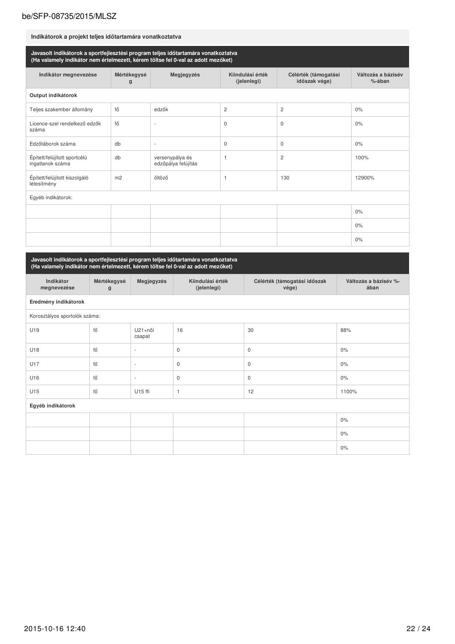| Indikátorok a projekt teljes időtartamára vonatkoztatva                                                                                                               |                  |                                        |                                 |                                       |                              |  |  |
|-----------------------------------------------------------------------------------------------------------------------------------------------------------------------|------------------|----------------------------------------|---------------------------------|---------------------------------------|------------------------------|--|--|
| Javasolt indikátorok a sportfejlesztési program teljes időtartamára vonatkoztatva<br>(Ha valamely indikátor nem értelmezett, kérem töltse fel 0-val az adott mezőket) |                  |                                        |                                 |                                       |                              |  |  |
| Indikátor megnevezése                                                                                                                                                 | Mértékegysé<br>g | Megjegyzés                             | Kiindulási érték<br>(jelenlegi) | Célérték (támogatási<br>időszak vége) | Változás a bázisév<br>%-ában |  |  |
| Output indikátorok                                                                                                                                                    |                  |                                        |                                 |                                       |                              |  |  |
| Teljes szakember állomány                                                                                                                                             | fő               | edzők                                  | 2                               | $\mathbf{2}$                          | 0%                           |  |  |
| Licence-szel rendelkező edzők<br>száma                                                                                                                                | fő               |                                        | $\mathbf 0$                     | $\mathbf 0$                           | 0%                           |  |  |
| Edzőtáborok száma                                                                                                                                                     | db               | $\overline{\phantom{a}}$               | $\mathbf 0$                     | 0                                     | 0%                           |  |  |
| Épített/felújított sportcélú<br>ingatlanok száma                                                                                                                      | db               | versenypálya és<br>edzőpálya felújítás | $\mathbf{1}$                    | 2                                     | 100%                         |  |  |
| Épített/felújított kiszolgáló<br>létesítmény                                                                                                                          | m <sub>2</sub>   | őltöző                                 | $\mathbf{1}$                    | 130                                   | 12900%                       |  |  |
| Egyéb indikátorok:                                                                                                                                                    |                  |                                        |                                 |                                       |                              |  |  |
|                                                                                                                                                                       |                  |                                        |                                 |                                       | 0%                           |  |  |
|                                                                                                                                                                       |                  |                                        |                                 |                                       | 0%                           |  |  |
|                                                                                                                                                                       |                  |                                        |                                 |                                       | 0%                           |  |  |

Javasolt indikátorok a sportfejlesztési program teljes időtartamára vonatkoztatva<br>(Ha valamely indikátor nem értelmezett, kérem töltse fel 0-val az adott mezőket)

| Indikátor<br>megnevezése      | Mértékegysé<br>g | Megjegyzés               | Kiindulási érték<br>(jelenlegi) | Célérték (támogatási időszak<br>vége) | Változás a bázisév %-<br>ában |  |  |
|-------------------------------|------------------|--------------------------|---------------------------------|---------------------------------------|-------------------------------|--|--|
| Eredmény indikátorok          |                  |                          |                                 |                                       |                               |  |  |
| Korosztályos sportolók száma: |                  |                          |                                 |                                       |                               |  |  |
| U19                           | fő               | U21+női<br>csapat        | 16                              | 30                                    | 88%                           |  |  |
| U18                           | fő               | $\sim$                   | $\mathsf 0$                     | $\mathsf 0$                           | $0\%$                         |  |  |
| U17                           | fő               | $\overline{\phantom{a}}$ | $\mathbf 0$                     | $\mathsf 0$                           | $0\%$                         |  |  |
| U16                           | fő               | $\overline{\phantom{a}}$ | $\mathbf{0}$                    | $\mathbf{0}$                          | $0\%$                         |  |  |
| U15                           | fő               | U15 ffi                  | $\overline{1}$                  | 12                                    | 1100%                         |  |  |
| Egyéb indikátorok             |                  |                          |                                 |                                       |                               |  |  |
|                               |                  |                          |                                 |                                       | $0\%$                         |  |  |
|                               |                  |                          |                                 |                                       | $0\%$                         |  |  |
|                               |                  |                          |                                 |                                       | $0\%$                         |  |  |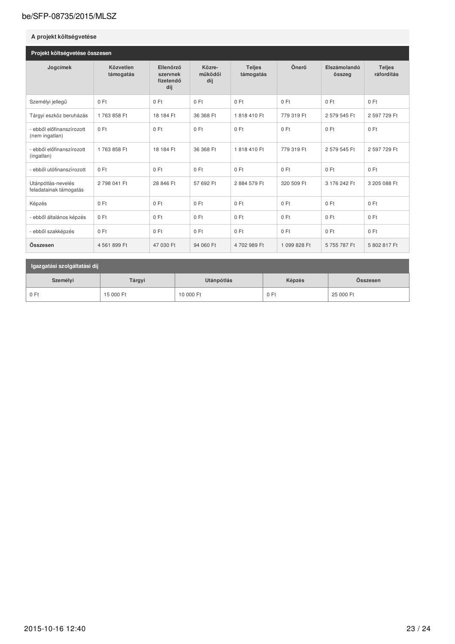#### A projekt költségvetése Projekt költségvetése összesen Közre-Jogcímek Közvetlen Ellenőrző Teljes Önerő Elszámolandó Teljes működői támogatás ráfordítás támogatás szervnek összeg fizetendő díj díj  $0 Ft$  $0 Ft$  $0 Ft$  $0 Ft$  $0 Ft$  $0 Ft$  $0 Ft$ Személyi jellegű 2 597 729 Ft Tárgyi eszköz beruházás 1763 858 Ft 18 184 Ft 36 368 Ft 1818410 Ft 779 319 Ft 2 579 545 Ft - ebből előfinanszírozott  $0 Ft$  $0 Ft$  $0 Ft$  $0 Ft$  $0 Ft$  $0 Ft$  $0 Ft$ (nem ingatlan) - ebből előfinanszírozott 2 597 729 Ft 1763858 Ft 18 184 Ft 36 368 Ft 1818410 Ft 779 319 Ft 2 579 545 Ft (ingatlan) - ebből utófinanszírozott  $0 Ft$  $0 Ft$  $0 Ft$  $0 Ft$  $0 Ft$ 0 Ft  $0 Ft$ Utánpótlás-nevelés 2798 041 Ft 28 846 Ft 57 692 Ft 2884 579 Ft 320 509 Ft 3 176 242 Ft 3 205 088 Ft feladatainak támogatás  $0 Ft$  $0 Ft$ Képzés  $0 Ft$ 0 Ft 0 Ft 0 Ft  $0 Ft$  $0 Ft$ - ebből általános képzés  $0 Ft$  $0 Ft$  $0 Ft$  $0 Ft$  $0 Ft$  $0 Ft$ - ebből szakképzés  $0$  Ft  $0 Ft$  $0 Ft$  $0 Ft$  $0 Ft$  $0$  Ft  $0 Ft$ Összesen 4 561 899 Ft 47 030 Ft 94 060 Ft 4702989 Ft 1 099 828 Ft 5755787Ft 5 802 817 Ft

| Igazgatási szolgáltatási díj |           |            |        |           |  |  |  |
|------------------------------|-----------|------------|--------|-----------|--|--|--|
| Személyi                     | Tárgyi    | Utánpótlás | Képzés | Osszesen  |  |  |  |
| 0 Ft                         | 15 000 Ft | 10 000 Ft  | 0 Ft   | 25 000 Ft |  |  |  |